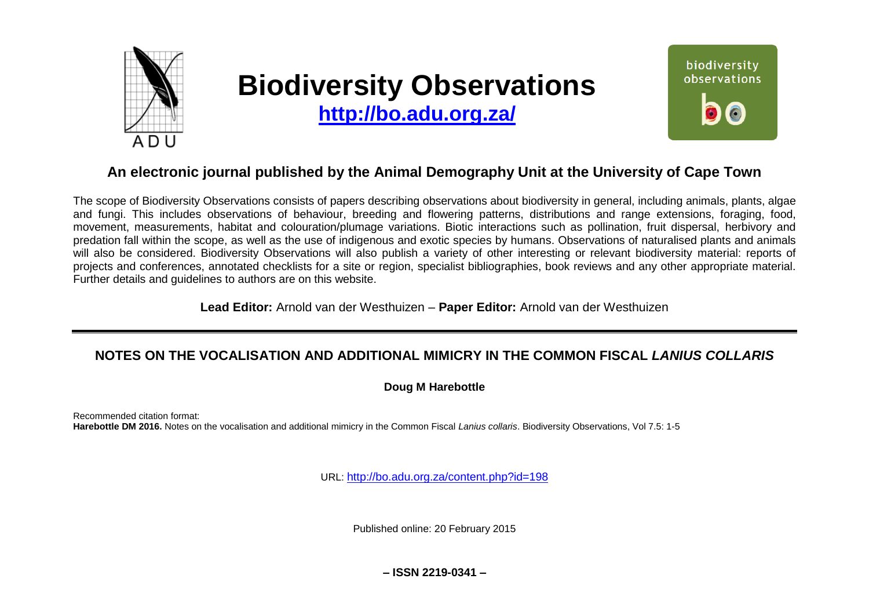

# **Biodiversity Observations**

**<http://bo.adu.org.za/>**



# **An electronic journal published by the Animal Demography Unit at the University of Cape Town**

The scope of Biodiversity Observations consists of papers describing observations about biodiversity in general, including animals, plants, algae and fungi. This includes observations of behaviour, breeding and flowering patterns, distributions and range extensions, foraging, food, movement, measurements, habitat and colouration/plumage variations. Biotic interactions such as pollination, fruit dispersal, herbivory and predation fall within the scope, as well as the use of indigenous and exotic species by humans. Observations of naturalised plants and animals will also be considered. Biodiversity Observations will also publish a variety of other interesting or relevant biodiversity material: reports of projects and conferences, annotated checklists for a site or region, specialist bibliographies, book reviews and any other appropriate material. Further details and guidelines to authors are on this website.

**Lead Editor:** Arnold van der Westhuizen – **Paper Editor:** Arnold van der Westhuizen

# **NOTES ON THE VOCALISATION AND ADDITIONAL MIMICRY IN THE COMMON FISCAL** *LANIUS COLLARIS*

## **Doug M Harebottle**

Recommended citation format: **Harebottle DM 2016.** Notes on the vocalisation and additional mimicry in the Common Fiscal *Lanius collaris*. Biodiversity Observations, Vol 7.5: 1-5

URL: <http://bo.adu.org.za/content.php?id=198>

Published online: 20 February 2015

**– ISSN 2219-0341 –**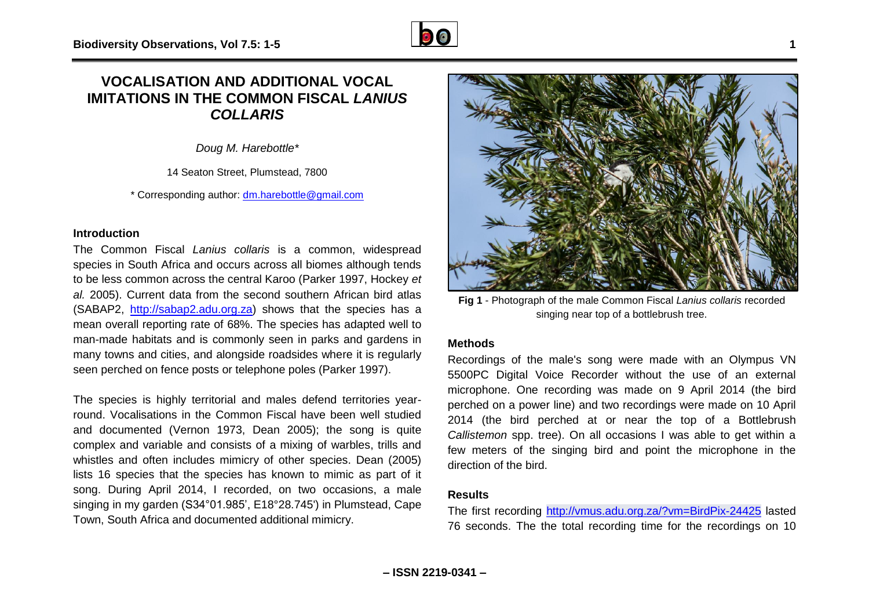## **VOCALISATION AND ADDITIONAL VOCAL IMITATIONS IN THE COMMON FISCAL** *LANIUS COLLARIS*

*Doug M. Harebottle\**

14 Seaton Street, Plumstead, 7800

\* Corresponding author: [dm.harebottle@gmail.com](mailto:dm.harebottle@gmail.com)

## **Introduction**

The Common Fiscal *Lanius collaris* is a common, widespread species in South Africa and occurs across all biomes although tends to be less common across the central Karoo (Parker 1997, Hockey *et al.* 2005). Current data from the second southern African bird atlas (SABAP2, [http://sabap2.adu.org.za\)](http://sabap2.adu.org.za/) shows that the species has a mean overall reporting rate of 68%. The species has adapted well to man-made habitats and is commonly seen in parks and gardens in many towns and cities, and alongside roadsides where it is regularly seen perched on fence posts or telephone poles (Parker 1997).

The species is highly territorial and males defend territories yearround. Vocalisations in the Common Fiscal have been well studied and documented (Vernon 1973, Dean 2005); the song is quite complex and variable and consists of a mixing of warbles, trills and whistles and often includes mimicry of other species. Dean (2005) lists 16 species that the species has known to mimic as part of it song. During April 2014, I recorded, on two occasions, a male singing in my garden (S34°01.985', E18°28.745') in Plumstead, Cape Town, South Africa and documented additional mimicry.



**Fig 1** - Photograph of the male Common Fiscal *Lanius collaris* recorded singing near top of a bottlebrush tree.

#### **Methods**

Recordings of the male's song were made with an Olympus VN 5500PC Digital Voice Recorder without the use of an external microphone. One recording was made on 9 April 2014 (the bird perched on a power line) and two recordings were made on 10 April 2014 (the bird perched at or near the top of a Bottlebrush *Callistemon* spp. tree). On all occasions I was able to get within a few meters of the singing bird and point the microphone in the direction of the bird.

## **Results**

The first recording <http://vmus.adu.org.za/?vm=BirdPix-24425> lasted 76 seconds. The the total recording time for the recordings on 10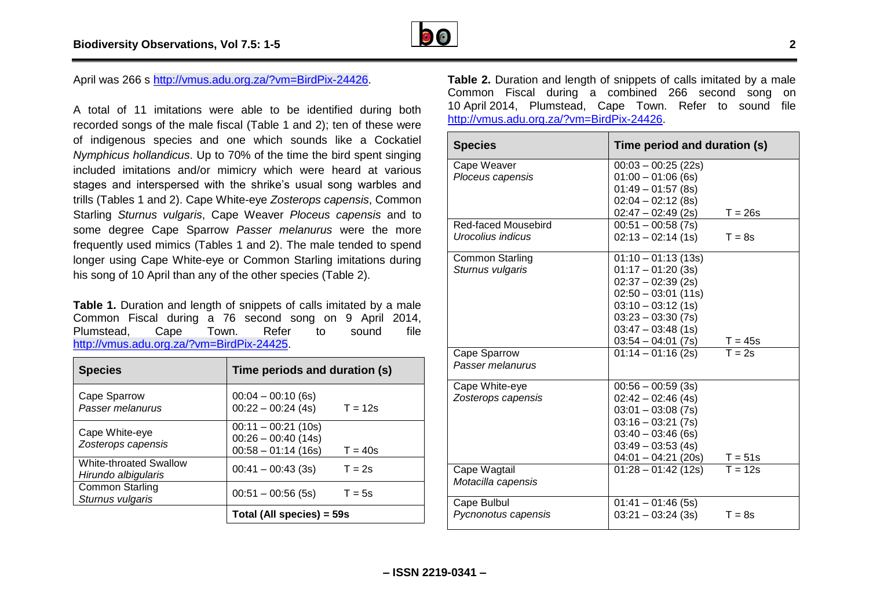

April was 266 s [http://vmus.adu.org.za/?vm=BirdPix-24426.](http://vmus.adu.org.za/?vm=BirdPix-24426)

A total of 11 imitations were able to be identified during both recorded songs of the male fiscal (Table 1 and 2); ten of these were of indigenous species and one which sounds like a Cockatiel *Nymphicus hollandicus*. Up to 70% of the time the bird spent singing included imitations and/or mimicry which were heard at various stages and interspersed with the shrike's usual song warbles and trills (Tables 1 and 2). Cape White-eye *Zosterops capensis*, Common Starling *Sturnus vulgaris*, Cape Weaver *Ploceus capensis* and to some degree Cape Sparrow *Passer melanurus* were the more frequently used mimics (Tables 1 and 2). The male tended to spend longer using Cape White-eye or Common Starling imitations during his song of 10 April than any of the other species (Table 2).

**Table 1.** Duration and length of snippets of calls imitated by a male Common Fiscal during a 76 second song on 9 April 2014, Plumstead, Cape Town. Refer to sound file [http://vmus.adu.org.za/?vm=BirdPix-24425.](http://vmus.adu.org.za/?vm=BirdPix-24425)

| <b>Species</b>                                       | Time periods and duration (s)                                        |           |
|------------------------------------------------------|----------------------------------------------------------------------|-----------|
| Cape Sparrow<br>Passer melanurus                     | $00:04 - 00:10(6s)$<br>$00:22 - 00:24(4s)$                           | $T = 12s$ |
| Cape White-eye<br>Zosterops capensis                 | $00:11 - 00:21(10s)$<br>$00:26 - 00:40(14s)$<br>$00:58 - 01:14(16s)$ | $T = 40s$ |
| <b>White-throated Swallow</b><br>Hirundo albigularis | $00:41 - 00:43(3s)$                                                  | $T = 2s$  |
| <b>Common Starling</b><br>Sturnus vulgaris           | $00:51 - 00:56(5s)$                                                  | $T = 5s$  |
|                                                      | Total (All species) = 59s                                            |           |

**Table 2.** Duration and length of snippets of calls imitated by a male Common Fiscal during a combined 266 second song on 10 April 2014, Plumstead, Cape Town. Refer to sound file [http://vmus.adu.org.za/?vm=BirdPix-24426.](http://vmus.adu.org.za/?vm=BirdPix-24426)

| <b>Species</b>         | Time period and duration (s)                 |  |
|------------------------|----------------------------------------------|--|
| Cape Weaver            | $00:03 - 00:25(22s)$                         |  |
| Ploceus capensis       | $01:00 - 01:06$ (6s)                         |  |
|                        | $01:49 - 01:57(8s)$                          |  |
|                        | $02:04 - 02:12(8s)$                          |  |
|                        | $02:47 - 02:49(2s)$<br>$T = 26s$             |  |
| Red-faced Mousebird    | $00:51 - 00:58(7s)$                          |  |
| Urocolius indicus      | $02:13 - 02:14(1s)$<br>$T = 8s$              |  |
| <b>Common Starling</b> | $01:10 - 01:13(13s)$                         |  |
| Sturnus vulgaris       | $01:17 - 01:20(3s)$                          |  |
|                        | $02:37 - 02:39(2s)$                          |  |
|                        | $02:50 - 03:01(11s)$                         |  |
|                        | $03:10 - 03:12(1s)$                          |  |
|                        | $03:23 - 03:30(7s)$                          |  |
|                        | $03:47 - 03:48(1s)$                          |  |
|                        | $03:54 - 04:01(7s)$<br>$T = 45s$             |  |
| Cape Sparrow           | $T = 2s$<br>$01:14 - 01:16(2s)$              |  |
| Passer melanurus       |                                              |  |
| Cape White-eye         | $00:56 - 00:59(3s)$                          |  |
| Zosterops capensis     | $02:42 - 02:46(4s)$                          |  |
|                        | $03:01 - 03:08(7s)$                          |  |
|                        | $03:16 - 03:21(7s)$                          |  |
|                        | $03:40 - 03:46$ (6s)                         |  |
|                        | $03:49 - 03:53(4s)$                          |  |
|                        | $04:01 - 04:21(20s)$<br>$T = 51s$            |  |
| Cape Wagtail           | $\overline{T} = 12s$<br>$01:28 - 01:42(12s)$ |  |
| Motacilla capensis     |                                              |  |
| Cape Bulbul            | $01:41 - 01:46(5s)$                          |  |
| Pycnonotus capensis    | $T = 8s$<br>$03:21 - 03:24(3s)$              |  |
|                        |                                              |  |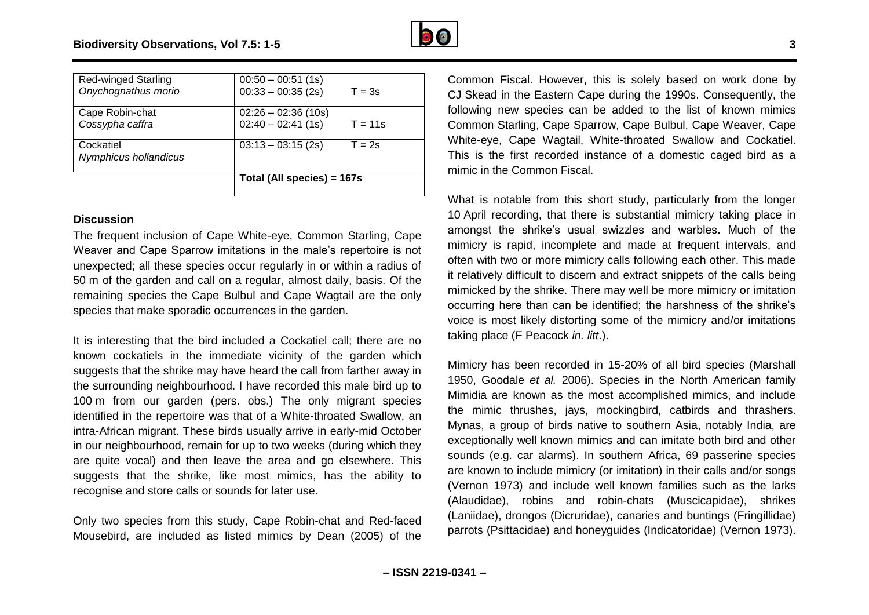| <b>Red-winged Starling</b> | $00:50 - 00:51(1s)$                         |           |
|----------------------------|---------------------------------------------|-----------|
| Onychognathus morio        | $00:33 - 00:35(2s)$                         | $T = 3s$  |
|                            |                                             |           |
| Cape Robin-chat            | $02:26 - 02:36(10s)$<br>$02:40 - 02:41(1s)$ |           |
|                            |                                             |           |
| Cossypha caffra            |                                             | $T = 11s$ |
|                            |                                             |           |
| Cockatiel                  | $03:13 - 03:15(2s)$                         | $T = 2s$  |
| Nymphicus hollandicus      |                                             |           |
|                            |                                             |           |
|                            |                                             |           |
|                            | Total (All species) = 167s                  |           |
|                            |                                             |           |

#### **Discussion**

The frequent inclusion of Cape White-eye, Common Starling, Cape Weaver and Cape Sparrow imitations in the male's repertoire is not unexpected; all these species occur regularly in or within a radius of 50 m of the garden and call on a regular, almost daily, basis. Of the remaining species the Cape Bulbul and Cape Wagtail are the only species that make sporadic occurrences in the garden.

It is interesting that the bird included a Cockatiel call; there are no known cockatiels in the immediate vicinity of the garden which suggests that the shrike may have heard the call from farther away in the surrounding neighbourhood. I have recorded this male bird up to 100 m from our garden (pers. obs.) The only migrant species identified in the repertoire was that of a White-throated Swallow, an intra-African migrant. These birds usually arrive in early-mid October in our neighbourhood, remain for up to two weeks (during which they are quite vocal) and then leave the area and go elsewhere. This suggests that the shrike, like most mimics, has the ability to recognise and store calls or sounds for later use.

Only two species from this study, Cape Robin-chat and Red-faced Mousebird, are included as listed mimics by Dean (2005) of the

Common Fiscal. However, this is solely based on work done by CJ Skead in the Eastern Cape during the 1990s. Consequently, the following new species can be added to the list of known mimics Common Starling, Cape Sparrow, Cape Bulbul, Cape Weaver, Cape White-eye, Cape Wagtail, White-throated Swallow and Cockatiel. This is the first recorded instance of a domestic caged bird as a mimic in the Common Fiscal.

What is notable from this short study, particularly from the longer 10 April recording, that there is substantial mimicry taking place in amongst the shrike's usual swizzles and warbles. Much of the mimicry is rapid, incomplete and made at frequent intervals, and often with two or more mimicry calls following each other. This made it relatively difficult to discern and extract snippets of the calls being mimicked by the shrike. There may well be more mimicry or imitation occurring here than can be identified; the harshness of the shrike's voice is most likely distorting some of the mimicry and/or imitations taking place (F Peacock *in. litt*.).

Mimicry has been recorded in 15-20% of all bird species (Marshall 1950, Goodale *et al.* 2006). Species in the North American family Mimidia are known as the most accomplished mimics, and include the mimic thrushes, jays, mockingbird, catbirds and thrashers. Mynas, a group of birds native to southern Asia, notably India, are exceptionally well known mimics and can imitate both bird and other sounds (e.g. car alarms). In southern Africa, 69 passerine species are known to include mimicry (or imitation) in their calls and/or songs (Vernon 1973) and include well known families such as the larks (Alaudidae), robins and robin-chats (Muscicapidae), shrikes (Laniidae), drongos (Dicruridae), canaries and buntings (Fringillidae) parrots (Psittacidae) and honeyguides (Indicatoridae) (Vernon 1973).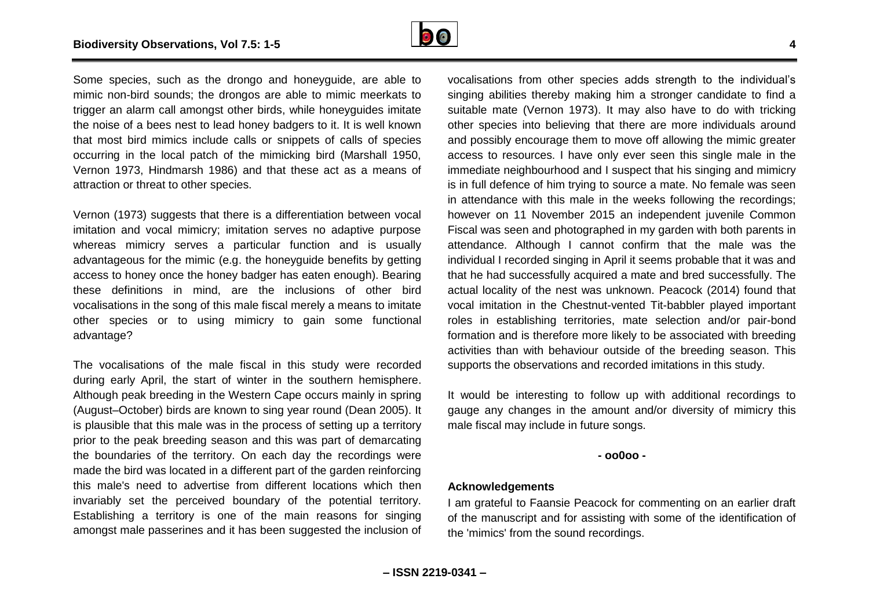

Some species, such as the drongo and honeyguide, are able to mimic non-bird sounds; the drongos are able to mimic meerkats to trigger an alarm call amongst other birds, while honeyguides imitate the noise of a bees nest to lead honey badgers to it. It is well known that most bird mimics include calls or snippets of calls of species occurring in the local patch of the mimicking bird (Marshall 1950, Vernon 1973, Hindmarsh 1986) and that these act as a means of attraction or threat to other species.

Vernon (1973) suggests that there is a differentiation between vocal imitation and vocal mimicry; imitation serves no adaptive purpose whereas mimicry serves a particular function and is usually advantageous for the mimic (e.g. the honeyguide benefits by getting access to honey once the honey badger has eaten enough). Bearing these definitions in mind, are the inclusions of other bird vocalisations in the song of this male fiscal merely a means to imitate other species or to using mimicry to gain some functional advantage?

The vocalisations of the male fiscal in this study were recorded during early April, the start of winter in the southern hemisphere. Although peak breeding in the Western Cape occurs mainly in spring (August–October) birds are known to sing year round (Dean 2005). It is plausible that this male was in the process of setting up a territory prior to the peak breeding season and this was part of demarcating the boundaries of the territory. On each day the recordings were made the bird was located in a different part of the garden reinforcing this male's need to advertise from different locations which then invariably set the perceived boundary of the potential territory. Establishing a territory is one of the main reasons for singing amongst male passerines and it has been suggested the inclusion of

vocalisations from other species adds strength to the individual's singing abilities thereby making him a stronger candidate to find a suitable mate (Vernon 1973). It may also have to do with tricking other species into believing that there are more individuals around and possibly encourage them to move off allowing the mimic greater access to resources. I have only ever seen this single male in the immediate neighbourhood and I suspect that his singing and mimicry is in full defence of him trying to source a mate. No female was seen in attendance with this male in the weeks following the recordings; however on 11 November 2015 an independent juvenile Common Fiscal was seen and photographed in my garden with both parents in attendance. Although I cannot confirm that the male was the individual I recorded singing in April it seems probable that it was and that he had successfully acquired a mate and bred successfully. The actual locality of the nest was unknown. Peacock (2014) found that vocal imitation in the Chestnut-vented Tit-babbler played important roles in establishing territories, mate selection and/or pair-bond formation and is therefore more likely to be associated with breeding activities than with behaviour outside of the breeding season. This supports the observations and recorded imitations in this study.

It would be interesting to follow up with additional recordings to gauge any changes in the amount and/or diversity of mimicry this male fiscal may include in future songs.

#### **- oo0oo -**

#### **Acknowledgements**

I am grateful to Faansie Peacock for commenting on an earlier draft of the manuscript and for assisting with some of the identification of the 'mimics' from the sound recordings.